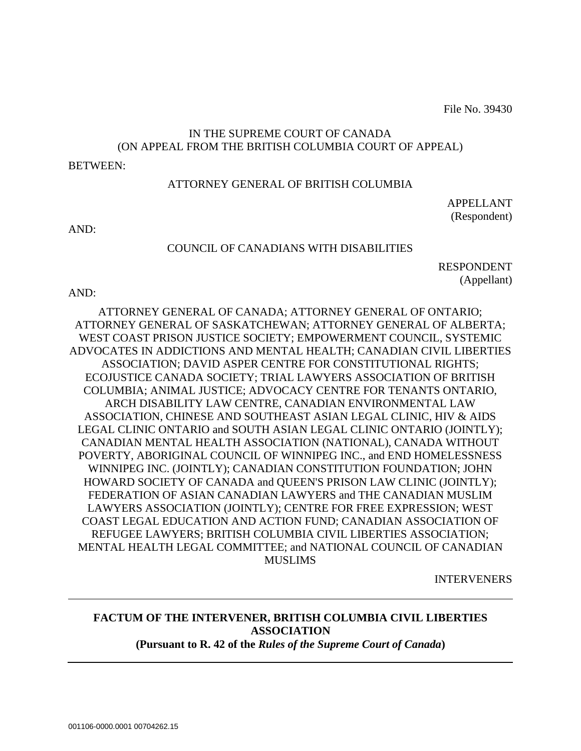File No. 39430

# IN THE SUPREME COURT OF CANADA (ON APPEAL FROM THE BRITISH COLUMBIA COURT OF APPEAL)

#### BETWEEN:

### ATTORNEY GENERAL OF BRITISH COLUMBIA

APPELLANT (Respondent)

AND:

#### COUNCIL OF CANADIANS WITH DISABILITIES

RESPONDENT (Appellant)

AND:

ATTORNEY GENERAL OF CANADA; ATTORNEY GENERAL OF ONTARIO; ATTORNEY GENERAL OF SASKATCHEWAN; ATTORNEY GENERAL OF ALBERTA; WEST COAST PRISON JUSTICE SOCIETY; EMPOWERMENT COUNCIL, SYSTEMIC ADVOCATES IN ADDICTIONS AND MENTAL HEALTH; CANADIAN CIVIL LIBERTIES ASSOCIATION; DAVID ASPER CENTRE FOR CONSTITUTIONAL RIGHTS; ECOJUSTICE CANADA SOCIETY; TRIAL LAWYERS ASSOCIATION OF BRITISH COLUMBIA; ANIMAL JUSTICE; ADVOCACY CENTRE FOR TENANTS ONTARIO, ARCH DISABILITY LAW CENTRE, CANADIAN ENVIRONMENTAL LAW ASSOCIATION, CHINESE AND SOUTHEAST ASIAN LEGAL CLINIC, HIV & AIDS LEGAL CLINIC ONTARIO and SOUTH ASIAN LEGAL CLINIC ONTARIO (JOINTLY); CANADIAN MENTAL HEALTH ASSOCIATION (NATIONAL), CANADA WITHOUT POVERTY, ABORIGINAL COUNCIL OF WINNIPEG INC., and END HOMELESSNESS WINNIPEG INC. (JOINTLY); CANADIAN CONSTITUTION FOUNDATION; JOHN HOWARD SOCIETY OF CANADA and QUEEN'S PRISON LAW CLINIC (JOINTLY); FEDERATION OF ASIAN CANADIAN LAWYERS and THE CANADIAN MUSLIM LAWYERS ASSOCIATION (JOINTLY); CENTRE FOR FREE EXPRESSION; WEST COAST LEGAL EDUCATION AND ACTION FUND; CANADIAN ASSOCIATION OF REFUGEE LAWYERS; BRITISH COLUMBIA CIVIL LIBERTIES ASSOCIATION; MENTAL HEALTH LEGAL COMMITTEE; and NATIONAL COUNCIL OF CANADIAN MUSLIMS

INTERVENERS

# **FACTUM OF THE INTERVENER, BRITISH COLUMBIA CIVIL LIBERTIES ASSOCIATION (Pursuant to R. 42 of the** *Rules of the Supreme Court of Canada***)**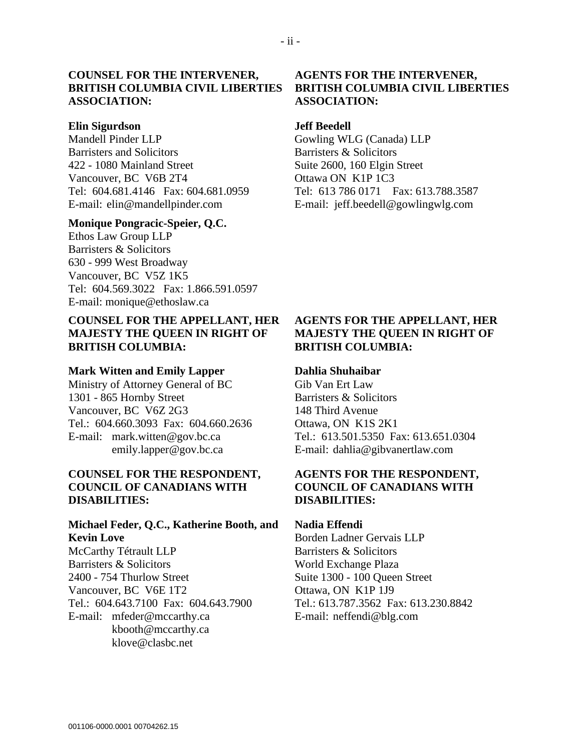### **COUNSEL FOR THE INTERVENER, BRITISH COLUMBIA CIVIL LIBERTIES ASSOCIATION:**

#### **Elin Sigurdson**

Mandell Pinder LLP Barristers and Solicitors 422 - 1080 Mainland Street Vancouver, BC V6B 2T4 Tel: 604.681.4146 Fax: 604.681.0959 E-mail: elin@mandellpinder.com

#### **Monique Pongracic-Speier, Q.C.**

Ethos Law Group LLP Barristers & Solicitors 630 - 999 West Broadway Vancouver, BC V5Z 1K5 Tel: 604.569.3022 Fax: 1.866.591.0597 E-mail: monique@ethoslaw.ca

# **COUNSEL FOR THE APPELLANT, HER MAJESTY THE QUEEN IN RIGHT OF BRITISH COLUMBIA:**

#### **Mark Witten and Emily Lapper**

Ministry of Attorney General of BC 1301 - 865 Hornby Street Vancouver, BC V6Z 2G3 Tel.: 604.660.3093 Fax: 604.660.2636 E-mail: mark.witten@gov.bc.ca emily.lapper@gov.bc.ca

### **COUNSEL FOR THE RESPONDENT, COUNCIL OF CANADIANS WITH DISABILITIES:**

# **Michael Feder, Q.C., Katherine Booth, and Kevin Love**

McCarthy Tétrault LLP Barristers & Solicitors 2400 - 754 Thurlow Street Vancouver, BC V6E 1T2 Tel.: 604.643.7100 Fax: 604.643.7900 E-mail: mfeder@mccarthy.ca kbooth@mccarthy.ca klove@clasbc.net

### **AGENTS FOR THE INTERVENER, BRITISH COLUMBIA CIVIL LIBERTIES ASSOCIATION:**

#### **Jeff Beedell**

Gowling WLG (Canada) LLP Barristers & Solicitors Suite 2600, 160 Elgin Street Ottawa ON K1P 1C3 Tel: 613 786 0171 Fax: 613.788.3587 E-mail: jeff.beedell@gowlingwlg.com

### **AGENTS FOR THE APPELLANT, HER MAJESTY THE QUEEN IN RIGHT OF BRITISH COLUMBIA:**

#### **Dahlia Shuhaibar**

Gib Van Ert Law Barristers & Solicitors 148 Third Avenue Ottawa, ON K1S 2K1 Tel.: 613.501.5350 Fax: 613.651.0304 E-mail: dahlia@gibvanertlaw.com

### **AGENTS FOR THE RESPONDENT, COUNCIL OF CANADIANS WITH DISABILITIES:**

#### **Nadia Effendi**

Borden Ladner Gervais LLP Barristers & Solicitors World Exchange Plaza Suite 1300 - 100 Queen Street Ottawa, ON K1P 1J9 Tel.: 613.787.3562 Fax: 613.230.8842 E-mail: neffendi@blg.com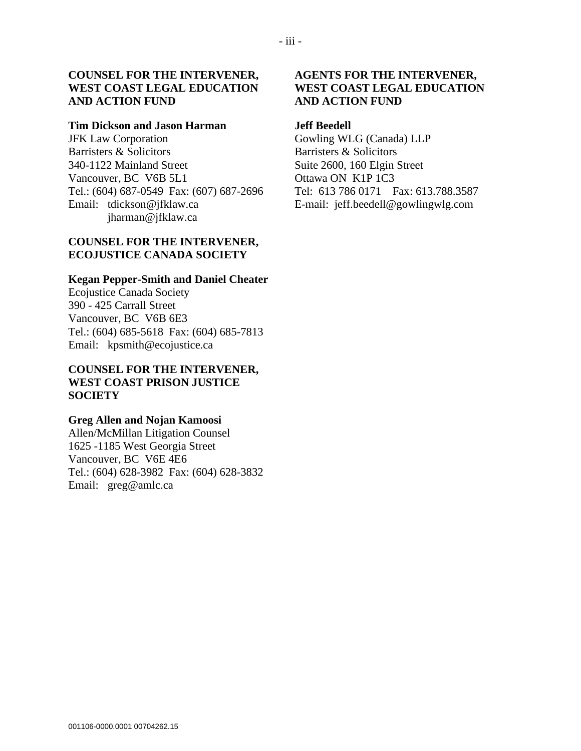# **COUNSEL FOR THE INTERVENER, WEST COAST LEGAL EDUCATION AND ACTION FUND**

#### **Tim Dickson and Jason Harman**

JFK Law Corporation Barristers & Solicitors 340-1122 Mainland Street Vancouver, BC V6B 5L1 Tel.: (604) 687-0549 Fax: (607) 687-2696 Email: tdickson@jfklaw.ca jharman@jfklaw.ca

#### **COUNSEL FOR THE INTERVENER, ECOJUSTICE CANADA SOCIETY**

#### **Kegan Pepper-Smith and Daniel Cheater**

Ecojustice Canada Society 390 - 425 Carrall Street Vancouver, BC V6B 6E3 Tel.: (604) 685-5618 Fax: (604) 685-7813 Email: kpsmith@ecojustice.ca

### **COUNSEL FOR THE INTERVENER, WEST COAST PRISON JUSTICE SOCIETY**

### **Greg Allen and Nojan Kamoosi**

Allen/McMillan Litigation Counsel 1625 -1185 West Georgia Street Vancouver, BC V6E 4E6 Tel.: (604) 628-3982 Fax: (604) 628-3832 Email: greg@amlc.ca

# **AGENTS FOR THE INTERVENER, WEST COAST LEGAL EDUCATION AND ACTION FUND**

#### **Jeff Beedell**

Gowling WLG (Canada) LLP Barristers & Solicitors Suite 2600, 160 Elgin Street Ottawa ON K1P 1C3 Tel: 613 786 0171 Fax: 613.788.3587 E-mail: jeff.beedell@gowlingwlg.com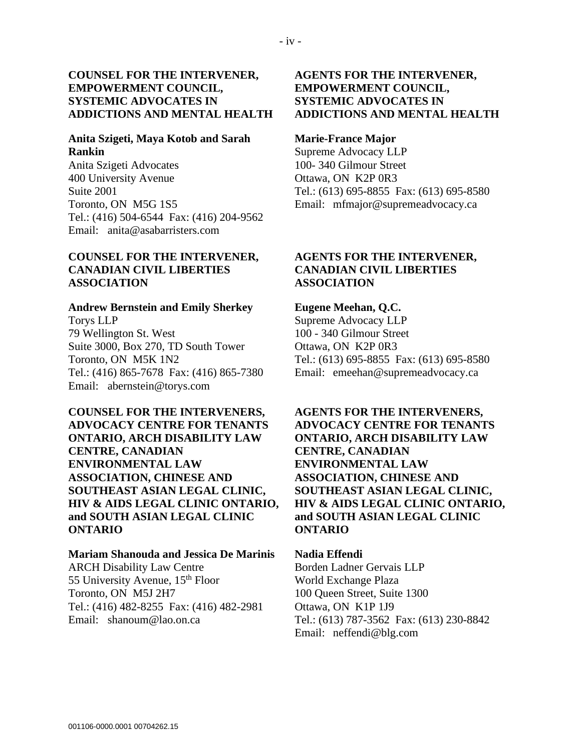### **COUNSEL FOR THE INTERVENER, EMPOWERMENT COUNCIL, SYSTEMIC ADVOCATES IN ADDICTIONS AND MENTAL HEALTH**

### **Anita Szigeti, Maya Kotob and Sarah Rankin**

Anita Szigeti Advocates 400 University Avenue Suite 2001 Toronto, ON M5G 1S5 Tel.: (416) 504-6544 Fax: (416) 204-9562 Email: anita@asabarristers.com

### **COUNSEL FOR THE INTERVENER, CANADIAN CIVIL LIBERTIES ASSOCIATION**

#### **Andrew Bernstein and Emily Sherkey**

Torys LLP 79 Wellington St. West Suite 3000, Box 270, TD South Tower Toronto, ON M5K 1N2 Tel.: (416) 865-7678 Fax: (416) 865-7380 Email: abernstein@torys.com

**COUNSEL FOR THE INTERVENERS, ADVOCACY CENTRE FOR TENANTS ONTARIO, ARCH DISABILITY LAW CENTRE, CANADIAN ENVIRONMENTAL LAW ASSOCIATION, CHINESE AND SOUTHEAST ASIAN LEGAL CLINIC, HIV & AIDS LEGAL CLINIC ONTARIO, and SOUTH ASIAN LEGAL CLINIC ONTARIO**

#### **Mariam Shanouda and Jessica De Marinis**

ARCH Disability Law Centre 55 University Avenue, 15<sup>th</sup> Floor Toronto, ON M5J 2H7 Tel.: (416) 482-8255 Fax: (416) 482-2981 Email: shanoum@lao.on.ca

## **AGENTS FOR THE INTERVENER, EMPOWERMENT COUNCIL, SYSTEMIC ADVOCATES IN ADDICTIONS AND MENTAL HEALTH**

### **Marie-France Major**

Supreme Advocacy LLP 100- 340 Gilmour Street Ottawa, ON K2P 0R3 Tel.: (613) 695-8855 Fax: (613) 695-8580 Email: mfmajor@supremeadvocacy.ca

# **AGENTS FOR THE INTERVENER, CANADIAN CIVIL LIBERTIES ASSOCIATION**

#### **Eugene Meehan, Q.C.**

Supreme Advocacy LLP 100 - 340 Gilmour Street Ottawa, ON K2P 0R3 Tel.: (613) 695-8855 Fax: (613) 695-8580 Email: emeehan@supremeadvocacy.ca

# **AGENTS FOR THE INTERVENERS, ADVOCACY CENTRE FOR TENANTS ONTARIO, ARCH DISABILITY LAW CENTRE, CANADIAN ENVIRONMENTAL LAW ASSOCIATION, CHINESE AND SOUTHEAST ASIAN LEGAL CLINIC, HIV & AIDS LEGAL CLINIC ONTARIO, and SOUTH ASIAN LEGAL CLINIC ONTARIO**

#### **Nadia Effendi**

Borden Ladner Gervais LLP World Exchange Plaza 100 Queen Street, Suite 1300 Ottawa, ON K1P 1J9 Tel.: (613) 787-3562 Fax: (613) 230-8842 Email: neffendi@blg.com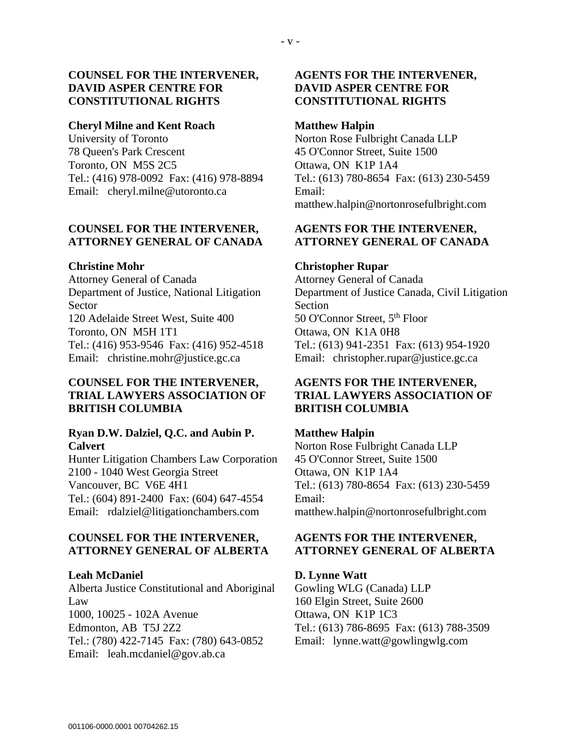### **COUNSEL FOR THE INTERVENER, DAVID ASPER CENTRE FOR CONSTITUTIONAL RIGHTS**

#### **Cheryl Milne and Kent Roach**

University of Toronto 78 Queen's Park Crescent Toronto, ON M5S 2C5 Tel.: (416) 978-0092 Fax: (416) 978-8894 Email: cheryl.milne@utoronto.ca

### **COUNSEL FOR THE INTERVENER, ATTORNEY GENERAL OF CANADA**

#### **Christine Mohr**

Attorney General of Canada Department of Justice, National Litigation **Sector** 120 Adelaide Street West, Suite 400 Toronto, ON M5H 1T1 Tel.: (416) 953-9546 Fax: (416) 952-4518 Email: christine.mohr@justice.gc.ca

### **COUNSEL FOR THE INTERVENER, TRIAL LAWYERS ASSOCIATION OF BRITISH COLUMBIA**

### **Ryan D.W. Dalziel, Q.C. and Aubin P. Calvert**

Hunter Litigation Chambers Law Corporation 2100 - 1040 West Georgia Street Vancouver, BC V6E 4H1 Tel.: (604) 891-2400 Fax: (604) 647-4554 Email: rdalziel@litigationchambers.com

### **COUNSEL FOR THE INTERVENER, ATTORNEY GENERAL OF ALBERTA**

### **Leah McDaniel**

Alberta Justice Constitutional and Aboriginal Law 1000, 10025 - 102A Avenue Edmonton, AB T5J 2Z2 Tel.: (780) 422-7145 Fax: (780) 643-0852 Email: leah.mcdaniel@gov.ab.ca

# **AGENTS FOR THE INTERVENER, DAVID ASPER CENTRE FOR CONSTITUTIONAL RIGHTS**

#### **Matthew Halpin**

Norton Rose Fulbright Canada LLP 45 O'Connor Street, Suite 1500 Ottawa, ON K1P 1A4 Tel.: (613) 780-8654 Fax: (613) 230-5459 Email: matthew.halpin@nortonrosefulbright.com

# **AGENTS FOR THE INTERVENER, ATTORNEY GENERAL OF CANADA**

#### **Christopher Rupar**

Attorney General of Canada Department of Justice Canada, Civil Litigation Section 50 O'Connor Street, 5<sup>th</sup> Floor Ottawa, ON K1A 0H8 Tel.: (613) 941-2351 Fax: (613) 954-1920 Email: christopher.rupar@justice.gc.ca

# **AGENTS FOR THE INTERVENER, TRIAL LAWYERS ASSOCIATION OF BRITISH COLUMBIA**

### **Matthew Halpin**

Norton Rose Fulbright Canada LLP 45 O'Connor Street, Suite 1500 Ottawa, ON K1P 1A4 Tel.: (613) 780-8654 Fax: (613) 230-5459 Email: matthew.halpin@nortonrosefulbright.com

# **AGENTS FOR THE INTERVENER, ATTORNEY GENERAL OF ALBERTA**

### **D. Lynne Watt**

Gowling WLG (Canada) LLP 160 Elgin Street, Suite 2600 Ottawa, ON K1P 1C3 Tel.: (613) 786-8695 Fax: (613) 788-3509 Email: lynne.watt@gowlingwlg.com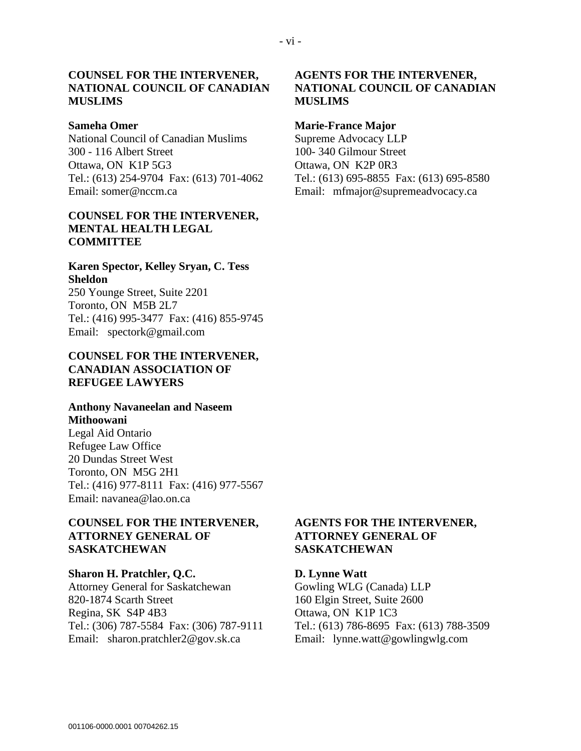### **COUNSEL FOR THE INTERVENER, NATIONAL COUNCIL OF CANADIAN MUSLIMS**

#### **Sameha Omer**

National Council of Canadian Muslims 300 - 116 Albert Street Ottawa, ON K1P 5G3 Tel.: (613) 254-9704 Fax: (613) 701-4062 Email: somer@nccm.ca

#### **COUNSEL FOR THE INTERVENER, MENTAL HEALTH LEGAL COMMITTEE**

## **Karen Spector, Kelley Sryan, C. Tess Sheldon**

250 Younge Street, Suite 2201 Toronto, ON M5B 2L7 Tel.: (416) 995-3477 Fax: (416) 855-9745 Email: spectork@gmail.com

### **COUNSEL FOR THE INTERVENER, CANADIAN ASSOCIATION OF REFUGEE LAWYERS**

### **Anthony Navaneelan and Naseem Mithoowani**

Legal Aid Ontario Refugee Law Office 20 Dundas Street West Toronto, ON M5G 2H1 Tel.: (416) 977-8111 Fax: (416) 977-5567 Email: navanea@lao.on.ca

#### **COUNSEL FOR THE INTERVENER, ATTORNEY GENERAL OF SASKATCHEWAN**

#### **Sharon H. Pratchler, Q.C.**

Attorney General for Saskatchewan 820-1874 Scarth Street Regina, SK S4P 4B3 Tel.: (306) 787-5584 Fax: (306) 787-9111 Email: sharon.pratchler2@gov.sk.ca

## **AGENTS FOR THE INTERVENER, NATIONAL COUNCIL OF CANADIAN MUSLIMS**

#### **Marie-France Major**

Supreme Advocacy LLP 100- 340 Gilmour Street Ottawa, ON K2P 0R3 Tel.: (613) 695-8855 Fax: (613) 695-8580 Email: mfmajor@supremeadvocacy.ca

### **AGENTS FOR THE INTERVENER, ATTORNEY GENERAL OF SASKATCHEWAN**

**D. Lynne Watt** Gowling WLG (Canada) LLP 160 Elgin Street, Suite 2600 Ottawa, ON K1P 1C3 Tel.: (613) 786-8695 Fax: (613) 788-3509 Email: lynne.watt@gowlingwlg.com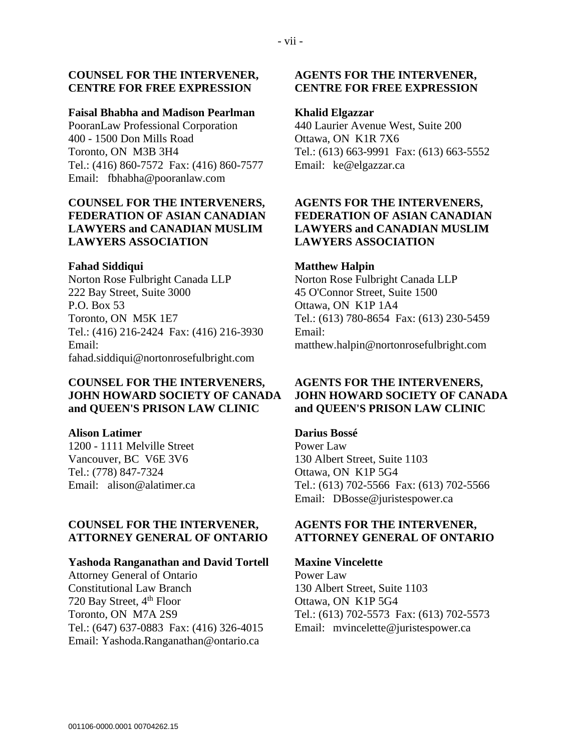#### **COUNSEL FOR THE INTERVENER, CENTRE FOR FREE EXPRESSION**

#### **Faisal Bhabha and Madison Pearlman**

PooranLaw Professional Corporation 400 - 1500 Don Mills Road Toronto, ON M3B 3H4 Tel.: (416) 860-7572 Fax: (416) 860-7577 Email: fbhabha@pooranlaw.com

# **COUNSEL FOR THE INTERVENERS, FEDERATION OF ASIAN CANADIAN LAWYERS and CANADIAN MUSLIM LAWYERS ASSOCIATION**

#### **Fahad Siddiqui**

Norton Rose Fulbright Canada LLP 222 Bay Street, Suite 3000 P.O. Box 53 Toronto, ON M5K 1E7 Tel.: (416) 216-2424 Fax: (416) 216-3930 Email: fahad.siddiqui@nortonrosefulbright.com

# **COUNSEL FOR THE INTERVENERS, JOHN HOWARD SOCIETY OF CANADA and QUEEN'S PRISON LAW CLINIC**

#### **Alison Latimer**

1200 - 1111 Melville Street Vancouver, BC V6E 3V6 Tel.: (778) 847-7324 Email: alison@alatimer.ca

#### **COUNSEL FOR THE INTERVENER, ATTORNEY GENERAL OF ONTARIO**

#### **Yashoda Ranganathan and David Tortell**

Attorney General of Ontario Constitutional Law Branch 720 Bay Street, 4<sup>th</sup> Floor Toronto, ON M7A 2S9 Tel.: (647) 637-0883 Fax: (416) 326-4015 Email: Yashoda.Ranganathan@ontario.ca

### **AGENTS FOR THE INTERVENER, CENTRE FOR FREE EXPRESSION**

#### **Khalid Elgazzar**

440 Laurier Avenue West, Suite 200 Ottawa, ON K1R 7X6 Tel.: (613) 663-9991 Fax: (613) 663-5552 Email: ke@elgazzar.ca

### **AGENTS FOR THE INTERVENERS, FEDERATION OF ASIAN CANADIAN LAWYERS and CANADIAN MUSLIM LAWYERS ASSOCIATION**

#### **Matthew Halpin**

Norton Rose Fulbright Canada LLP 45 O'Connor Street, Suite 1500 Ottawa, ON K1P 1A4 Tel.: (613) 780-8654 Fax: (613) 230-5459 Email: matthew.halpin@nortonrosefulbright.com

### **AGENTS FOR THE INTERVENERS, JOHN HOWARD SOCIETY OF CANADA and QUEEN'S PRISON LAW CLINIC**

**Darius Bossé** Power Law 130 Albert Street, Suite 1103 Ottawa, ON K1P 5G4 Tel.: (613) 702-5566 Fax: (613) 702-5566 Email: DBosse@juristespower.ca

# **AGENTS FOR THE INTERVENER, ATTORNEY GENERAL OF ONTARIO**

#### **Maxine Vincelette**

Power Law 130 Albert Street, Suite 1103 Ottawa, ON K1P 5G4 Tel.: (613) 702-5573 Fax: (613) 702-5573 Email: mvincelette@juristespower.ca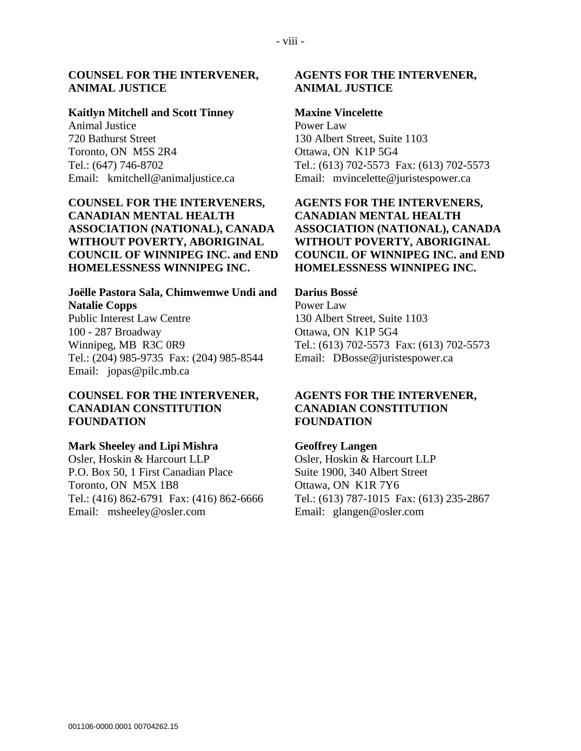#### **COUNSEL FOR THE INTERVENER, ANIMAL JUSTICE**

#### **Kaitlyn Mitchell and Scott Tinney**

Animal Justice 720 Bathurst Street Toronto, ON M5S 2R4 Tel.: (647) 746-8702 Email: kmitchell@animaljustice.ca

# **COUNSEL FOR THE INTERVENERS, CANADIAN MENTAL HEALTH ASSOCIATION (NATIONAL), CANADA WITHOUT POVERTY, ABORIGINAL COUNCIL OF WINNIPEG INC. and END HOMELESSNESS WINNIPEG INC.**

#### **Joëlle Pastora Sala, Chimwemwe Undi and Natalie Copps**

Public Interest Law Centre 100 - 287 Broadway Winnipeg, MB R3C 0R9 Tel.: (204) 985-9735 Fax: (204) 985-8544 Email: jopas@pilc.mb.ca

### **COUNSEL FOR THE INTERVENER, CANADIAN CONSTITUTION FOUNDATION**

#### **Mark Sheeley and Lipi Mishra**

Osler, Hoskin & Harcourt LLP P.O. Box 50, 1 First Canadian Place Toronto, ON M5X 1B8 Tel.: (416) 862-6791 Fax: (416) 862-6666 Email: msheeley@osler.com

### **AGENTS FOR THE INTERVENER, ANIMAL JUSTICE**

#### **Maxine Vincelette**

Power Law 130 Albert Street, Suite 1103 Ottawa, ON K1P 5G4 Tel.: (613) 702-5573 Fax: (613) 702-5573 Email: mvincelette@juristespower.ca

# **AGENTS FOR THE INTERVENERS, CANADIAN MENTAL HEALTH ASSOCIATION (NATIONAL), CANADA WITHOUT POVERTY, ABORIGINAL COUNCIL OF WINNIPEG INC. and END HOMELESSNESS WINNIPEG INC.**

#### **Darius Bossé**

Power Law 130 Albert Street, Suite 1103 Ottawa, ON K1P 5G4 Tel.: (613) 702-5573 Fax: (613) 702-5573 Email: DBosse@juristespower.ca

### **AGENTS FOR THE INTERVENER, CANADIAN CONSTITUTION FOUNDATION**

#### **Geoffrey Langen**

Osler, Hoskin & Harcourt LLP Suite 1900, 340 Albert Street Ottawa, ON K1R 7Y6 Tel.: (613) 787-1015 Fax: (613) 235-2867 Email: glangen@osler.com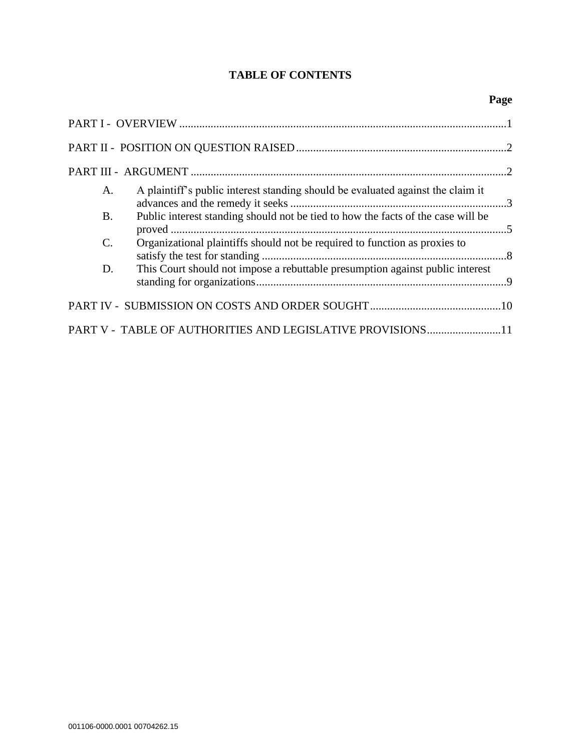# **TABLE OF CONTENTS**

| A.              | A plaintiff's public interest standing should be evaluated against the claim it  |  |
|-----------------|----------------------------------------------------------------------------------|--|
| <b>B.</b>       | Public interest standing should not be tied to how the facts of the case will be |  |
| $\mathcal{C}$ . | Organizational plaintiffs should not be required to function as proxies to       |  |
| D.              | This Court should not impose a rebuttable presumption against public interest    |  |
|                 |                                                                                  |  |
|                 | PART V - TABLE OF AUTHORITIES AND LEGISLATIVE PROVISIONS11                       |  |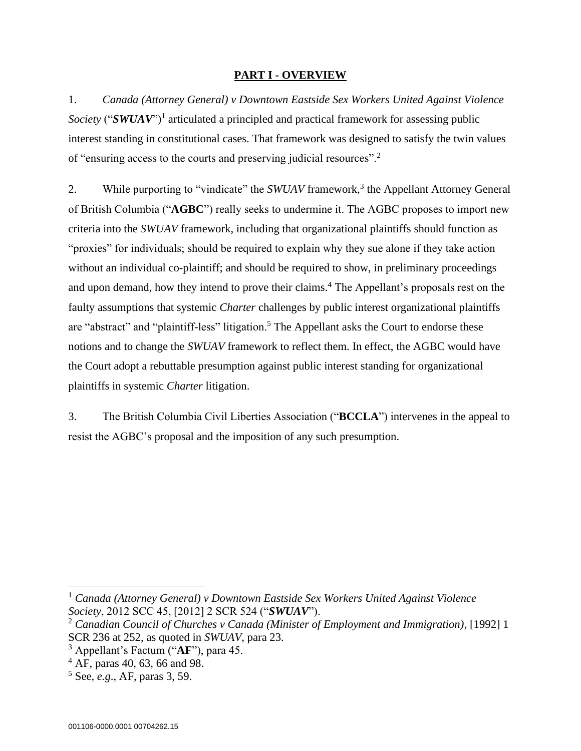### **PART I - OVERVIEW**

<span id="page-9-0"></span>1. *Canada (Attorney General) v Downtown Eastside Sex Workers United Against Violence*  Society ("SWUAV")<sup>1</sup> articulated a principled and practical framework for assessing public interest standing in constitutional cases. That framework was designed to satisfy the twin values of "ensuring access to the courts and preserving judicial resources".<sup>2</sup>

2. While purporting to "vindicate" the *SWUAV* framework,<sup>3</sup> the Appellant Attorney General of British Columbia ("**AGBC**") really seeks to undermine it. The AGBC proposes to import new criteria into the *SWUAV* framework, including that organizational plaintiffs should function as "proxies" for individuals; should be required to explain why they sue alone if they take action without an individual co-plaintiff; and should be required to show, in preliminary proceedings and upon demand, how they intend to prove their claims.<sup>4</sup> The Appellant's proposals rest on the faulty assumptions that systemic *Charter* challenges by public interest organizational plaintiffs are "abstract" and "plaintiff-less" litigation.<sup>5</sup> The Appellant asks the Court to endorse these notions and to change the *SWUAV* framework to reflect them. In effect, the AGBC would have the Court adopt a rebuttable presumption against public interest standing for organizational plaintiffs in systemic *Charter* litigation.

3. The British Columbia Civil Liberties Association ("**BCCLA**") intervenes in the appeal to resist the AGBC's proposal and the imposition of any such presumption.

<sup>1</sup> *Canada (Attorney General) v Downtown Eastside Sex Workers United Against Violence Society*, 2012 SCC 45, [2012] 2 SCR 524 ("*SWUAV*").

<sup>2</sup> *Canadian Council of Churches v Canada (Minister of Employment and Immigration)*, [1992] 1 SCR 236 at 252, as quoted in *SWUAV*, para 23.

<sup>3</sup> Appellant's Factum ("**AF**"), para 45.

<sup>4</sup> AF, paras 40, 63, 66 and 98.

<sup>5</sup> See, *e.g*., AF, paras 3, 59.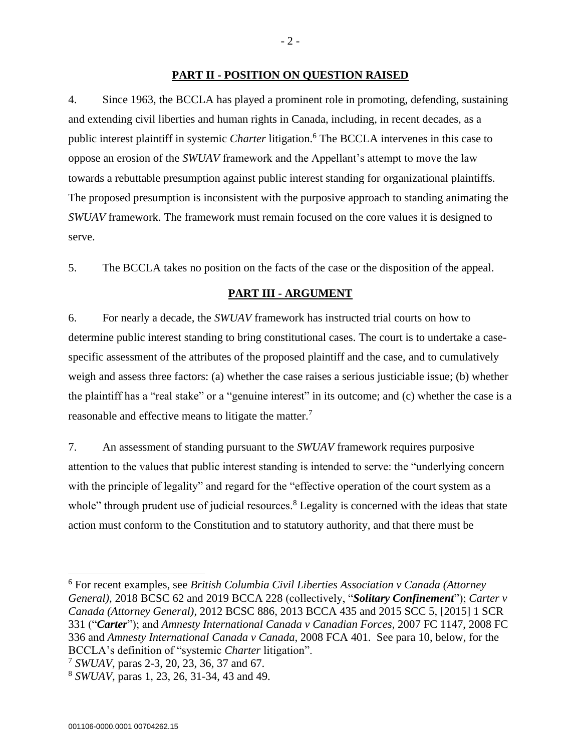#### **PART II - POSITION ON QUESTION RAISED**

<span id="page-10-0"></span>4. Since 1963, the BCCLA has played a prominent role in promoting, defending, sustaining and extending civil liberties and human rights in Canada, including, in recent decades, as a public interest plaintiff in systemic *Charter* litigation.<sup>6</sup> The BCCLA intervenes in this case to oppose an erosion of the *SWUAV* framework and the Appellant's attempt to move the law towards a rebuttable presumption against public interest standing for organizational plaintiffs. The proposed presumption is inconsistent with the purposive approach to standing animating the *SWUAV* framework. The framework must remain focused on the core values it is designed to serve.

<span id="page-10-1"></span>5. The BCCLA takes no position on the facts of the case or the disposition of the appeal.

#### **PART III - ARGUMENT**

6. For nearly a decade, the *SWUAV* framework has instructed trial courts on how to determine public interest standing to bring constitutional cases. The court is to undertake a casespecific assessment of the attributes of the proposed plaintiff and the case, and to cumulatively weigh and assess three factors: (a) whether the case raises a serious justiciable issue; (b) whether the plaintiff has a "real stake" or a "genuine interest" in its outcome; and (c) whether the case is a reasonable and effective means to litigate the matter.<sup>7</sup>

7. An assessment of standing pursuant to the *SWUAV* framework requires purposive attention to the values that public interest standing is intended to serve: the "underlying concern with the principle of legality" and regard for the "effective operation of the court system as a whole" through prudent use of judicial resources.<sup>8</sup> Legality is concerned with the ideas that state action must conform to the Constitution and to statutory authority, and that there must be

7 *SWUAV*, paras 2-3, 20, 23, 36, 37 and 67.

<sup>6</sup> For recent examples, see *British Columbia Civil Liberties Association v Canada (Attorney General)*, 2018 BCSC 62 and 2019 BCCA 228 (collectively, "*Solitary Confinement*"); *Carter v Canada (Attorney General)*, 2012 BCSC 886, 2013 BCCA 435 and 2015 SCC 5, [2015] 1 SCR 331 ("*Carter*"); and *Amnesty International Canada v Canadian Forces*, 2007 FC 1147, 2008 FC 336 and *Amnesty International Canada v Canada*, 2008 FCA 401. See para 10, below, for the BCCLA's definition of "systemic *Charter* litigation".

<sup>8</sup> *SWUAV*, paras 1, 23, 26, 31-34, 43 and 49.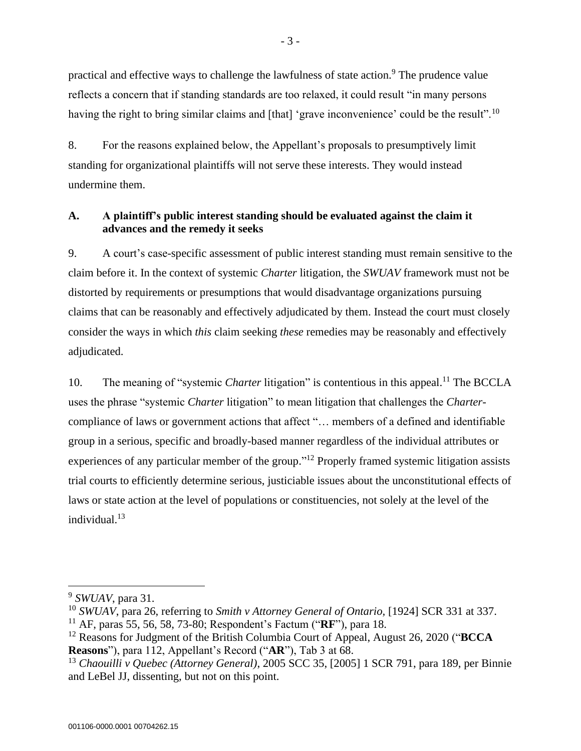practical and effective ways to challenge the lawfulness of state action.<sup>9</sup> The prudence value reflects a concern that if standing standards are too relaxed, it could result "in many persons having the right to bring similar claims and [that] 'grave inconvenience' could be the result".<sup>10</sup>

8. For the reasons explained below, the Appellant's proposals to presumptively limit standing for organizational plaintiffs will not serve these interests. They would instead undermine them.

# <span id="page-11-0"></span>**A. A plaintiff's public interest standing should be evaluated against the claim it advances and the remedy it seeks**

9. A court's case-specific assessment of public interest standing must remain sensitive to the claim before it. In the context of systemic *Charter* litigation, the *SWUAV* framework must not be distorted by requirements or presumptions that would disadvantage organizations pursuing claims that can be reasonably and effectively adjudicated by them. Instead the court must closely consider the ways in which *this* claim seeking *these* remedies may be reasonably and effectively adjudicated.

10. The meaning of "systemic *Charter* litigation" is contentious in this appeal.<sup>11</sup> The BCCLA uses the phrase "systemic *Charter* litigation" to mean litigation that challenges the *Charter*compliance of laws or government actions that affect "… members of a defined and identifiable group in a serious, specific and broadly-based manner regardless of the individual attributes or experiences of any particular member of the group."<sup>12</sup> Properly framed systemic litigation assists trial courts to efficiently determine serious, justiciable issues about the unconstitutional effects of laws or state action at the level of populations or constituencies, not solely at the level of the individual.<sup>13</sup>

<sup>9</sup> *SWUAV*, para 31.

<sup>10</sup> *SWUAV*, para 26, referring to *Smith v Attorney General of Ontario,* [1924] SCR 331 at 337.

<sup>11</sup> AF, paras 55, 56, 58, 73-80; Respondent's Factum ("**RF**"), para 18.

<sup>12</sup> Reasons for Judgment of the British Columbia Court of Appeal, August 26, 2020 ("**BCCA Reasons**"), para 112, Appellant's Record ("**AR**"), Tab 3 at 68.

<sup>13</sup> *Chaouilli v Quebec (Attorney General)*, 2005 SCC 35, [2005] 1 SCR 791, para 189, per Binnie and LeBel JJ, dissenting, but not on this point.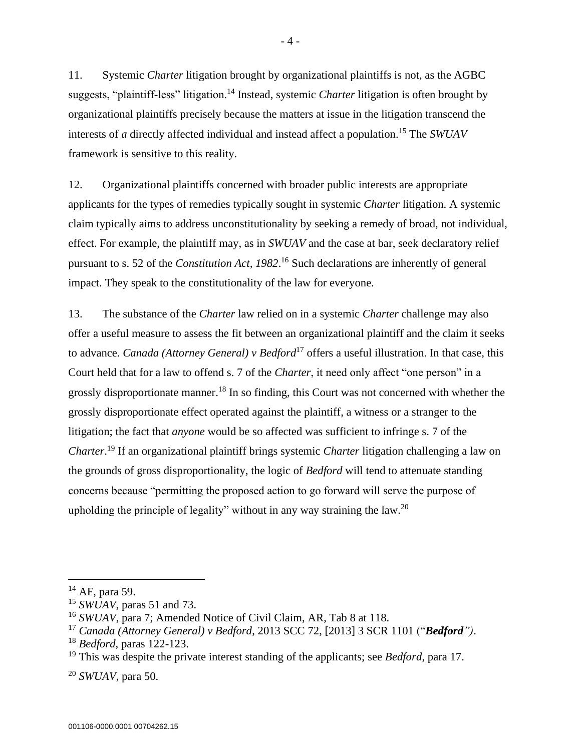11. Systemic *Charter* litigation brought by organizational plaintiffs is not, as the AGBC suggests, "plaintiff-less" litigation.<sup>14</sup> Instead, systemic *Charter* litigation is often brought by organizational plaintiffs precisely because the matters at issue in the litigation transcend the interests of *a* directly affected individual and instead affect a population. <sup>15</sup> The *SWUAV* framework is sensitive to this reality.

12. Organizational plaintiffs concerned with broader public interests are appropriate applicants for the types of remedies typically sought in systemic *Charter* litigation. A systemic claim typically aims to address unconstitutionality by seeking a remedy of broad, not individual, effect. For example, the plaintiff may, as in *SWUAV* and the case at bar, seek declaratory relief pursuant to s. 52 of the *Constitution Act, 1982*. <sup>16</sup> Such declarations are inherently of general impact. They speak to the constitutionality of the law for everyone.

13. The substance of the *Charter* law relied on in a systemic *Charter* challenge may also offer a useful measure to assess the fit between an organizational plaintiff and the claim it seeks to advance. *Canada (Attorney General) v Bedford*<sup>17</sup> offers a useful illustration. In that case, this Court held that for a law to offend s. 7 of the *Charter*, it need only affect "one person" in a grossly disproportionate manner.<sup>18</sup> In so finding, this Court was not concerned with whether the grossly disproportionate effect operated against the plaintiff, a witness or a stranger to the litigation; the fact that *anyone* would be so affected was sufficient to infringe s. 7 of the *Charter*. <sup>19</sup> If an organizational plaintiff brings systemic *Charter* litigation challenging a law on the grounds of gross disproportionality, the logic of *Bedford* will tend to attenuate standing concerns because "permitting the proposed action to go forward will serve the purpose of upholding the principle of legality" without in any way straining the law.<sup>20</sup>

 $14$  AF, para 59.

<sup>15</sup> *SWUAV*, paras 51 and 73.

<sup>16</sup> *SWUAV*, para 7; Amended Notice of Civil Claim, AR, Tab 8 at 118.

<sup>17</sup> *Canada (Attorney General) v Bedford*, 2013 SCC 72, [2013] 3 SCR 1101 ("*Bedford")*.

<sup>18</sup> *Bedford*, paras 122-123.

<sup>19</sup> This was despite the private interest standing of the applicants; see *Bedford*, para 17.

<sup>20</sup> *SWUAV*, para 50.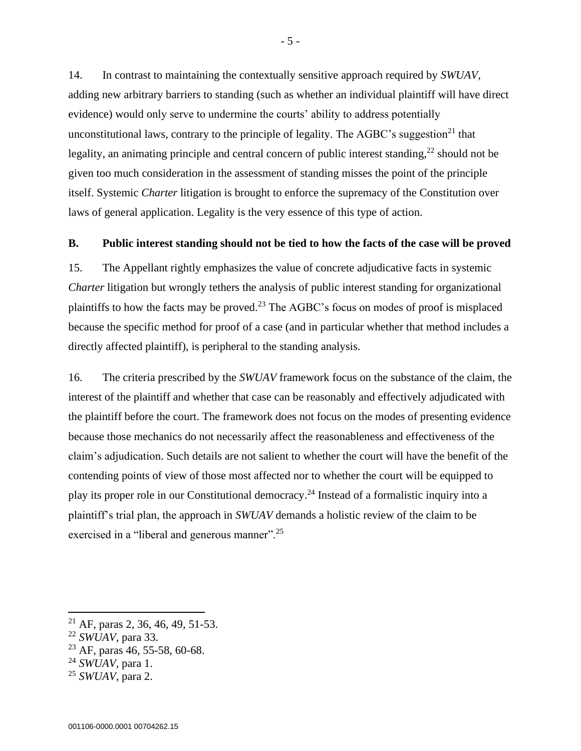14. In contrast to maintaining the contextually sensitive approach required by *SWUAV*, adding new arbitrary barriers to standing (such as whether an individual plaintiff will have direct evidence) would only serve to undermine the courts' ability to address potentially unconstitutional laws, contrary to the principle of legality. The AGBC's suggestion<sup>21</sup> that legality, an animating principle and central concern of public interest standing, $^{22}$  should not be given too much consideration in the assessment of standing misses the point of the principle itself. Systemic *Charter* litigation is brought to enforce the supremacy of the Constitution over laws of general application. Legality is the very essence of this type of action.

#### <span id="page-13-0"></span>**B. Public interest standing should not be tied to how the facts of the case will be proved**

15. The Appellant rightly emphasizes the value of concrete adjudicative facts in systemic *Charter* litigation but wrongly tethers the analysis of public interest standing for organizational plaintiffs to how the facts may be proved.<sup>23</sup> The AGBC's focus on modes of proof is misplaced because the specific method for proof of a case (and in particular whether that method includes a directly affected plaintiff), is peripheral to the standing analysis.

16. The criteria prescribed by the *SWUAV* framework focus on the substance of the claim, the interest of the plaintiff and whether that case can be reasonably and effectively adjudicated with the plaintiff before the court. The framework does not focus on the modes of presenting evidence because those mechanics do not necessarily affect the reasonableness and effectiveness of the claim's adjudication. Such details are not salient to whether the court will have the benefit of the contending points of view of those most affected nor to whether the court will be equipped to play its proper role in our Constitutional democracy. <sup>24</sup> Instead of a formalistic inquiry into a plaintiff's trial plan, the approach in *SWUAV* demands a holistic review of the claim to be exercised in a "liberal and generous manner".<sup>25</sup>

<sup>&</sup>lt;sup>21</sup> AF, paras 2, 36, 46, 49, 51-53.

<sup>22</sup> *SWUAV*, para 33.

 $^{23}$  AF, paras 46, 55-58, 60-68.

<sup>24</sup> *SWUAV,* para 1.

<sup>25</sup> *SWUAV,* para 2.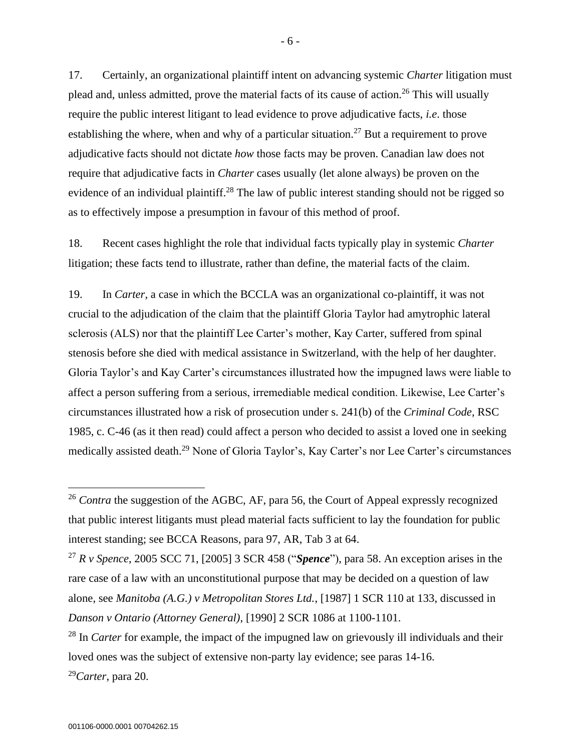17. Certainly, an organizational plaintiff intent on advancing systemic *Charter* litigation must plead and, unless admitted, prove the material facts of its cause of action.<sup>26</sup> This will usually require the public interest litigant to lead evidence to prove adjudicative facts, *i.e*. those establishing the where, when and why of a particular situation.<sup>27</sup> But a requirement to prove adjudicative facts should not dictate *how* those facts may be proven. Canadian law does not require that adjudicative facts in *Charter* cases usually (let alone always) be proven on the evidence of an individual plaintiff.<sup>28</sup> The law of public interest standing should not be rigged so as to effectively impose a presumption in favour of this method of proof.

18. Recent cases highlight the role that individual facts typically play in systemic *Charter* litigation; these facts tend to illustrate, rather than define, the material facts of the claim.

19. In *Carter*, a case in which the BCCLA was an organizational co-plaintiff, it was not crucial to the adjudication of the claim that the plaintiff Gloria Taylor had amytrophic lateral sclerosis (ALS) nor that the plaintiff Lee Carter's mother, Kay Carter, suffered from spinal stenosis before she died with medical assistance in Switzerland, with the help of her daughter. Gloria Taylor's and Kay Carter's circumstances illustrated how the impugned laws were liable to affect a person suffering from a serious, irremediable medical condition. Likewise, Lee Carter's circumstances illustrated how a risk of prosecution under s. 241(b) of the *Criminal Code,* RSC 1985, c. C-46 (as it then read) could affect a person who decided to assist a loved one in seeking medically assisted death.<sup>29</sup> None of Gloria Taylor's, Kay Carter's nor Lee Carter's circumstances

<sup>29</sup>*Carter*, para 20.

<sup>&</sup>lt;sup>26</sup> *Contra* the suggestion of the AGBC, AF, para 56, the Court of Appeal expressly recognized that public interest litigants must plead material facts sufficient to lay the foundation for public interest standing; see BCCA Reasons, para 97, AR, Tab 3 at 64.

<sup>27</sup> *R v Spence*, 2005 SCC 71, [2005] 3 SCR 458 ("*Spence*"), para 58. An exception arises in the rare case of a law with an unconstitutional purpose that may be decided on a question of law alone, see *Manitoba (A.G.) v Metropolitan Stores Ltd.*, [1987] 1 SCR 110 at 133, discussed in *Danson v Ontario (Attorney General)*, [1990] 2 SCR 1086 at 1100-1101.

<sup>&</sup>lt;sup>28</sup> In *Carter* for example, the impact of the impugned law on grievously ill individuals and their loved ones was the subject of extensive non-party lay evidence; see paras 14-16.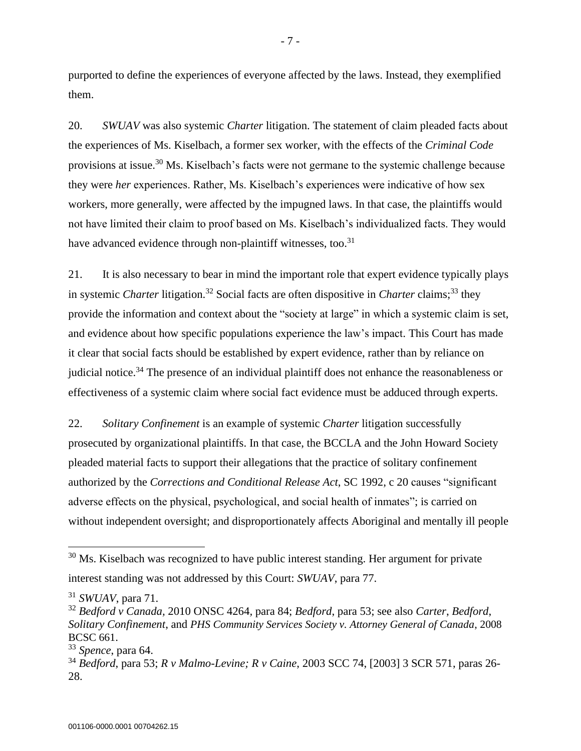purported to define the experiences of everyone affected by the laws. Instead, they exemplified them.

20. *SWUAV* was also systemic *Charter* litigation. The statement of claim pleaded facts about the experiences of Ms. Kiselbach, a former sex worker, with the effects of the *Criminal Code* provisions at issue.<sup>30</sup> Ms. Kiselbach's facts were not germane to the systemic challenge because they were *her* experiences. Rather, Ms. Kiselbach's experiences were indicative of how sex workers, more generally, were affected by the impugned laws. In that case, the plaintiffs would not have limited their claim to proof based on Ms. Kiselbach's individualized facts. They would have advanced evidence through non-plaintiff witnesses, too.<sup>31</sup>

21. It is also necessary to bear in mind the important role that expert evidence typically plays in systemic *Charter* litigation.<sup>32</sup> Social facts are often dispositive in *Charter* claims; <sup>33</sup> they provide the information and context about the "society at large" in which a systemic claim is set, and evidence about how specific populations experience the law's impact. This Court has made it clear that social facts should be established by expert evidence, rather than by reliance on judicial notice.<sup>34</sup> The presence of an individual plaintiff does not enhance the reasonableness or effectiveness of a systemic claim where social fact evidence must be adduced through experts.

22. *Solitary Confinement* is an example of systemic *Charter* litigation successfully prosecuted by organizational plaintiffs. In that case, the BCCLA and the John Howard Society pleaded material facts to support their allegations that the practice of solitary confinement authorized by the *Corrections and Conditional Release Act*, SC 1992, c 20 causes "significant adverse effects on the physical, psychological, and social health of inmates"; is carried on without independent oversight; and disproportionately affects Aboriginal and mentally ill people

 $30$  Ms. Kiselbach was recognized to have public interest standing. Her argument for private interest standing was not addressed by this Court: *SWUAV*, para 77.

<sup>31</sup> *SWUAV*, para 71.

<sup>32</sup> *Bedford v Canada,* 2010 ONSC 4264*,* para 84; *Bedford*, para 53; see also *Carter*, *Bedford*, *Solitary Confinement*, and *PHS Community Services Society v. Attorney General of Canada*, 2008 BCSC 661.

<sup>33</sup> *Spence*, para 64.

<sup>34</sup> *Bedford*, para 53; *R v Malmo-Levine; R v Caine*, 2003 SCC 74, [2003] 3 SCR 571, paras 26- 28.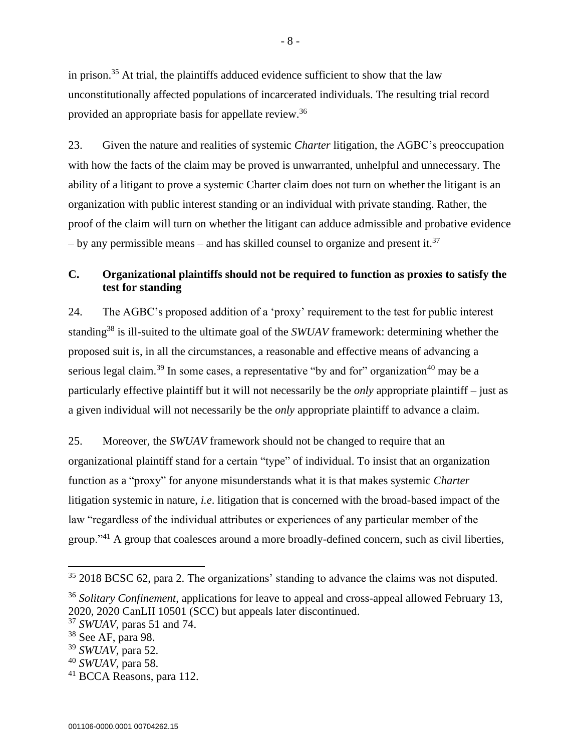in prison.<sup>35</sup> At trial, the plaintiffs adduced evidence sufficient to show that the law unconstitutionally affected populations of incarcerated individuals. The resulting trial record provided an appropriate basis for appellate review.<sup>36</sup>

23. Given the nature and realities of systemic *Charter* litigation, the AGBC's preoccupation with how the facts of the claim may be proved is unwarranted, unhelpful and unnecessary. The ability of a litigant to prove a systemic Charter claim does not turn on whether the litigant is an organization with public interest standing or an individual with private standing. Rather, the proof of the claim will turn on whether the litigant can adduce admissible and probative evidence – by any permissible means – and has skilled counsel to organize and present it.<sup>37</sup>

# <span id="page-16-0"></span>**C. Organizational plaintiffs should not be required to function as proxies to satisfy the test for standing**

24. The AGBC's proposed addition of a 'proxy' requirement to the test for public interest standing<sup>38</sup> is ill-suited to the ultimate goal of the *SWUAV* framework: determining whether the proposed suit is, in all the circumstances, a reasonable and effective means of advancing a serious legal claim.<sup>39</sup> In some cases, a representative "by and for" organization<sup>40</sup> may be a particularly effective plaintiff but it will not necessarily be the *only* appropriate plaintiff – just as a given individual will not necessarily be the *only* appropriate plaintiff to advance a claim.

25. Moreover, the *SWUAV* framework should not be changed to require that an organizational plaintiff stand for a certain "type" of individual. To insist that an organization function as a "proxy" for anyone misunderstands what it is that makes systemic *Charter* litigation systemic in nature, *i.e*. litigation that is concerned with the broad-based impact of the law "regardless of the individual attributes or experiences of any particular member of the group."<sup>41</sup> A group that coalesces around a more broadly-defined concern, such as civil liberties,

- 8 -

<sup>&</sup>lt;sup>35</sup> 2018 BCSC 62, para 2. The organizations' standing to advance the claims was not disputed.

<sup>36</sup> *Solitary Confinement*, applications for leave to appeal and cross-appeal allowed February 13, 2020, 2020 CanLII 10501 (SCC) but appeals later discontinued.

<sup>37</sup> *SWUAV*, paras 51 and 74.

 $38$  See AF, para 98.

<sup>39</sup> *SWUAV*, para 52.

<sup>40</sup> *SWUAV*, para 58.

<sup>41</sup> BCCA Reasons, para 112.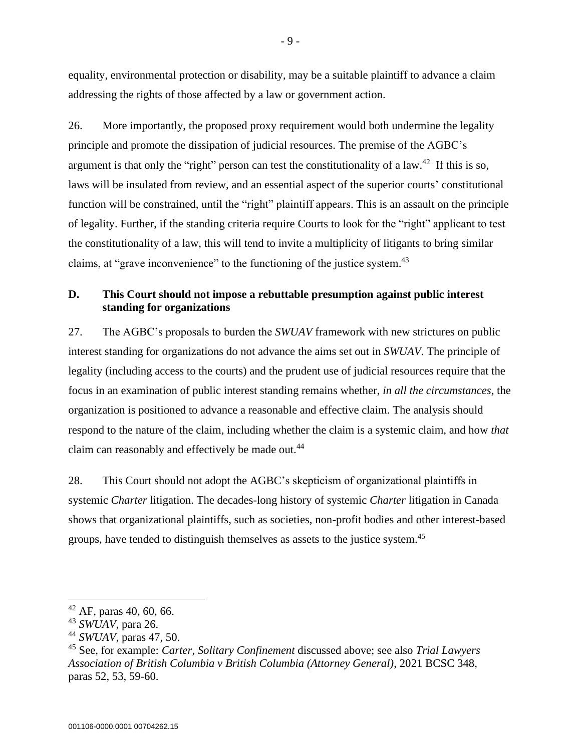equality, environmental protection or disability, may be a suitable plaintiff to advance a claim addressing the rights of those affected by a law or government action.

26. More importantly, the proposed proxy requirement would both undermine the legality principle and promote the dissipation of judicial resources. The premise of the AGBC's argument is that only the "right" person can test the constitutionality of a law.<sup>42</sup> If this is so, laws will be insulated from review, and an essential aspect of the superior courts' constitutional function will be constrained, until the "right" plaintiff appears. This is an assault on the principle of legality. Further, if the standing criteria require Courts to look for the "right" applicant to test the constitutionality of a law, this will tend to invite a multiplicity of litigants to bring similar claims, at "grave inconvenience" to the functioning of the justice system.<sup>43</sup>

# <span id="page-17-0"></span>**D. This Court should not impose a rebuttable presumption against public interest standing for organizations**

27. The AGBC's proposals to burden the *SWUAV* framework with new strictures on public interest standing for organizations do not advance the aims set out in *SWUAV*. The principle of legality (including access to the courts) and the prudent use of judicial resources require that the focus in an examination of public interest standing remains whether, *in all the circumstances*, the organization is positioned to advance a reasonable and effective claim. The analysis should respond to the nature of the claim, including whether the claim is a systemic claim, and how *that*  claim can reasonably and effectively be made out.<sup>44</sup>

28. This Court should not adopt the AGBC's skepticism of organizational plaintiffs in systemic *Charter* litigation. The decades-long history of systemic *Charter* litigation in Canada shows that organizational plaintiffs, such as societies, non-profit bodies and other interest-based groups, have tended to distinguish themselves as assets to the justice system.<sup>45</sup>

 $42$  AF, paras 40, 60, 66.

<sup>43</sup> *SWUAV*, para 26.

<sup>44</sup> *SWUAV*, paras 47, 50.

<sup>45</sup> See, for example: *Carter*, *Solitary Confinement* discussed above; see also *Trial Lawyers Association of British Columbia v British Columbia (Attorney General)*, 2021 BCSC 348, paras 52, 53, 59-60.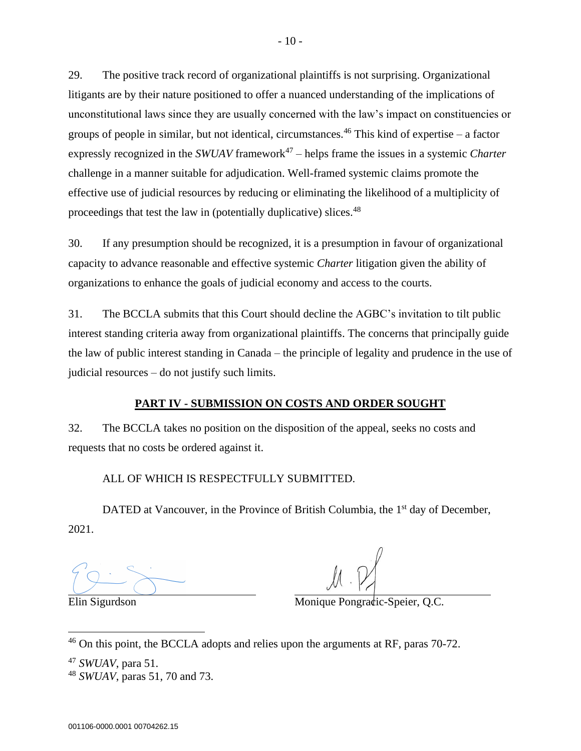29. The positive track record of organizational plaintiffs is not surprising. Organizational litigants are by their nature positioned to offer a nuanced understanding of the implications of unconstitutional laws since they are usually concerned with the law's impact on constituencies or groups of people in similar, but not identical, circumstances.<sup>46</sup> This kind of expertise – a factor expressly recognized in the *SWUAV* framework<sup>47</sup> – helps frame the issues in a systemic *Charter* challenge in a manner suitable for adjudication. Well-framed systemic claims promote the effective use of judicial resources by reducing or eliminating the likelihood of a multiplicity of proceedings that test the law in (potentially duplicative) slices.<sup>48</sup>

30. If any presumption should be recognized, it is a presumption in favour of organizational capacity to advance reasonable and effective systemic *Charter* litigation given the ability of organizations to enhance the goals of judicial economy and access to the courts.

31. The BCCLA submits that this Court should decline the AGBC's invitation to tilt public interest standing criteria away from organizational plaintiffs. The concerns that principally guide the law of public interest standing in Canada – the principle of legality and prudence in the use of judicial resources – do not justify such limits.

### **PART IV - SUBMISSION ON COSTS AND ORDER SOUGHT**

<span id="page-18-0"></span>32. The BCCLA takes no position on the disposition of the appeal, seeks no costs and requests that no costs be ordered against it.

# ALL OF WHICH IS RESPECTFULLY SUBMITTED.

DATED at Vancouver, in the Province of British Columbia, the 1<sup>st</sup> day of December, 2021.

Elin Sigurdson Monique Pongradic-Speier, Q.C.

<sup>46</sup> On this point, the BCCLA adopts and relies upon the arguments at RF, paras 70-72.

<sup>47</sup> *SWUAV*, para 51.

<sup>48</sup> *SWUAV*, paras 51, 70 and 73.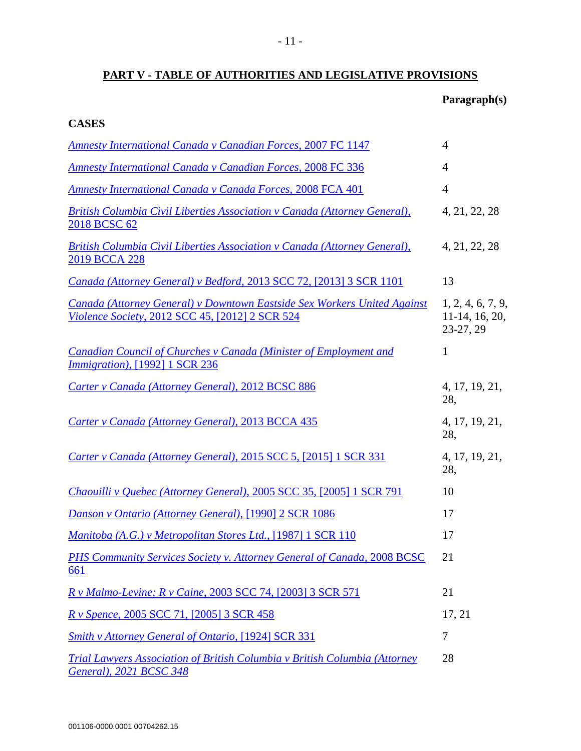# <span id="page-19-0"></span>**PART V - TABLE OF AUTHORITIES AND LEGISLATIVE PROVISIONS**

# **Paragraph(s)**

| <b>Amnesty International Canada v Canadian Forces, 2007 FC 1147</b>                                                         | $\overline{4}$                                      |
|-----------------------------------------------------------------------------------------------------------------------------|-----------------------------------------------------|
| <b>Amnesty International Canada v Canadian Forces, 2008 FC 336</b>                                                          | $\overline{4}$                                      |
| <b>Amnesty International Canada v Canada Forces, 2008 FCA 401</b>                                                           | $\overline{4}$                                      |
| <b>British Columbia Civil Liberties Association v Canada (Attorney General),</b><br>2018 BCSC 62                            | 4, 21, 22, 28                                       |
| <b>British Columbia Civil Liberties Association v Canada (Attorney General),</b><br>2019 BCCA 228                           | 4, 21, 22, 28                                       |
| Canada (Attorney General) v Bedford, 2013 SCC 72, [2013] 3 SCR 1101                                                         | 13                                                  |
| Canada (Attorney General) v Downtown Eastside Sex Workers United Against<br>Violence Society, 2012 SCC 45, [2012] 2 SCR 524 | 1, 2, 4, 6, 7, 9,<br>$11-14$ , 16, 20,<br>23-27, 29 |
| <b>Canadian Council of Churches v Canada (Minister of Employment and</b><br><i>Immigration</i> ), [1992] 1 SCR 236          | 1                                                   |
| Carter v Canada (Attorney General), 2012 BCSC 886                                                                           | 4, 17, 19, 21,<br>28,                               |
| Carter v Canada (Attorney General), 2013 BCCA 435                                                                           | 4, 17, 19, 21,<br>28,                               |
| Carter v Canada (Attorney General), 2015 SCC 5, [2015] 1 SCR 331                                                            | 4, 17, 19, 21,<br>28,                               |
| Chaouilli v Quebec (Attorney General), 2005 SCC 35, [2005] 1 SCR 791                                                        | 10                                                  |
| Danson v Ontario (Attorney General), [1990] 2 SCR 1086                                                                      | 17                                                  |
| Manitoba (A.G.) v Metropolitan Stores Ltd., [1987] 1 SCR 110                                                                | 17                                                  |
| PHS Community Services Society v. Attorney General of Canada, 2008 BCSC<br><u>661</u>                                       | 21                                                  |
| R v Malmo-Levine; R v Caine, 2003 SCC 74, [2003] 3 SCR 571                                                                  | 21                                                  |
| R v Spence, 2005 SCC 71, [2005] 3 SCR 458                                                                                   | 17, 21                                              |
| <b>Smith v Attorney General of Ontario, [1924] SCR 331</b>                                                                  | 7                                                   |
| <b>Trial Lawyers Association of British Columbia v British Columbia (Attorney</b><br>General), 2021 BCSC 348                | 28                                                  |

**CASES**